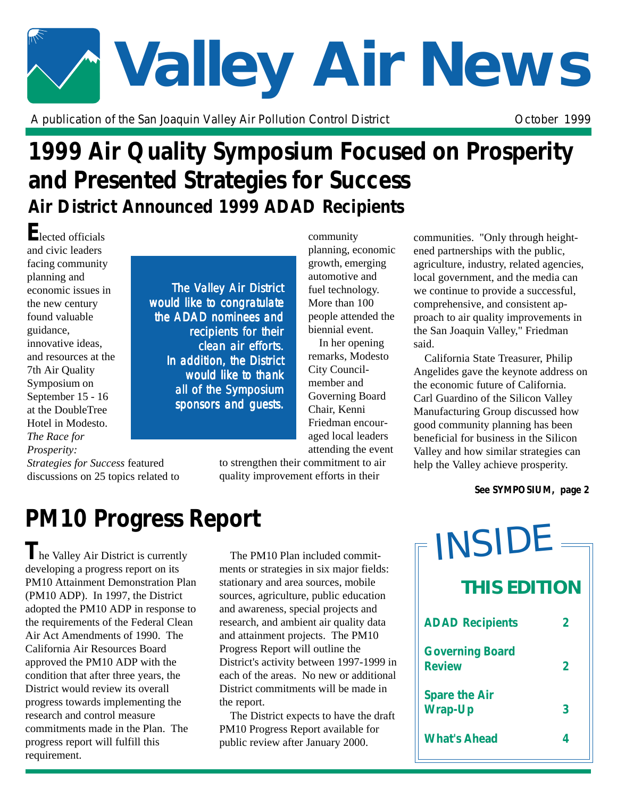# **Valley Air News**

A publication of the San Joaquin Valley Air Pollution Control District **Concept Control Control** October 1999

## **1999 Air Quality Symposium Focused on Prosperity and Presented Strategies for Success Air District Announced 1999 ADAD Recipients**

**E**lected officials and civic leaders facing community planning and economic issues in the new century found valuable guidance, innovative ideas, and resources at the 7th Air Quality Symposium on September 15 - 16 at the DoubleTree Hotel in Modesto. *The Race for Prosperity:*

*Strategies for Success* featured discussions on 25 topics related to

The Valley Air District would like to congratulate the ADAD nominees and recipients for their clean air efforts. In addition, the District would like to thank all of the Symposium sponsors and guests.

community planning, economic growth, emerging automotive and fuel technology. More than 100 people attended the biennial event.

In her opening remarks, Modesto City Councilmember and Governing Board Chair, Kenni Friedman encouraged local leaders attending the event

to strengthen their commitment to air quality improvement efforts in their

communities. "Only through heightened partnerships with the public, agriculture, industry, related agencies, local government, and the media can we continue to provide a successful, comprehensive, and consistent approach to air quality improvements in the San Joaquin Valley," Friedman said.

California State Treasurer, Philip Angelides gave the keynote address on the economic future of California. Carl Guardino of the Silicon Valley Manufacturing Group discussed how good community planning has been beneficial for business in the Silicon Valley and how similar strategies can help the Valley achieve prosperity.

#### *See SYMPOSIUM, page 2*

# **PM10 Progress Report**

**T**he Valley Air District is currently developing a progress report on its PM10 Attainment Demonstration Plan (PM10 ADP). In 1997, the District adopted the PM10 ADP in response to the requirements of the Federal Clean Air Act Amendments of 1990. The California Air Resources Board approved the PM10 ADP with the condition that after three years, the District would review its overall progress towards implementing the research and control measure commitments made in the Plan. The progress report will fulfill this requirement.

The PM10 Plan included commitments or strategies in six major fields: stationary and area sources, mobile sources, agriculture, public education and awareness, special projects and research, and ambient air quality data and attainment projects. The PM10 Progress Report will outline the District's activity between 1997-1999 in each of the areas. No new or additional District commitments will be made in the report.

The District expects to have the draft PM10 Progress Report available for public review after January 2000.

| INSIDE                                  |   |
|-----------------------------------------|---|
| <b>THIS EDITION</b>                     |   |
| <b>ADAD Recipients</b>                  | 2 |
| <b>Governing Board</b><br><b>Review</b> | 2 |
| <b>Spare the Air</b><br><b>Wrap-Up</b>  | 3 |
| <b>What's Ahead</b>                     | 4 |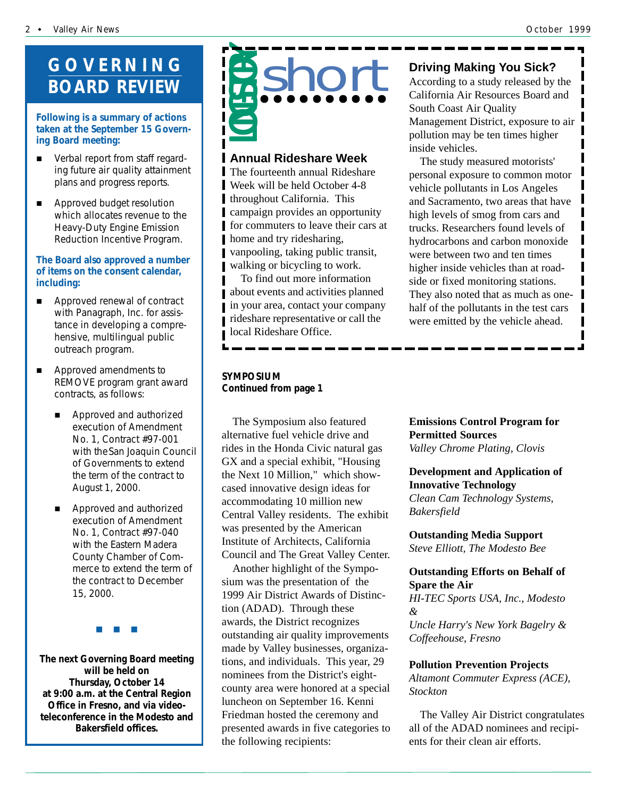### **GOVERNING BOARD REVIEW**

#### **Following is a summary of actions taken at the September 15 Governing Board meeting:**

- Verbal report from staff regarding future air quality attainment plans and progress reports.
- **E** Approved budget resolution which allocates revenue to the Heavy-Duty Engine Emission Reduction Incentive Program.

#### **The Board also approved a number of items on the consent calendar, including:**

- **E** Approved renewal of contract with Panagraph, Inc. for assistance in developing a comprehensive, multilingual public outreach program.
- $\blacksquare$  Approved amendments to REMOVE program grant award contracts, as follows:
	- Approved and authorized execution of Amendment No. 1, Contract #97-001 with theSan Joaquin Council of Governments to extend the term of the contract to August 1, 2000.
	- Approved and authorized execution of Amendment No. 1, Contract #97-040 with the Eastern Madera County Chamber of Commerce to extend the term of the contract to December 15, 2000.

#"#"#

**The next Governing Board meeting will be held on Thursday, October 14 at 9:00 a.m. at the Central Region Office in Fresno, and via videoteleconference in the Modesto and Bakersfield offices.**



#### **Annual Rideshare Week**

The fourteenth annual Rideshare Week will be held October 4-8 throughout California. This campaign provides an opportunity for commuters to leave their cars at home and try ridesharing, vanpooling, taking public transit, walking or bicycling to work.

To find out more information about events and activities planned in your area, contact your company rideshare representative or call the local Rideshare Office.

#### *SYMPOSIUM Continued from page 1*

The Symposium also featured alternative fuel vehicle drive and rides in the Honda Civic natural gas GX and a special exhibit, "Housing the Next 10 Million," which showcased innovative design ideas for accommodating 10 million new Central Valley residents. The exhibit was presented by the American Institute of Architects, California Council and The Great Valley Center.

Another highlight of the Symposium was the presentation of the 1999 Air District Awards of Distinction (ADAD). Through these awards, the District recognizes outstanding air quality improvements made by Valley businesses, organizations, and individuals. This year, 29 nominees from the District's eightcounty area were honored at a special luncheon on September 16. Kenni Friedman hosted the ceremony and presented awards in five categories to the following recipients:

#### **Driving Making You Sick?**

According to a study released by the California Air Resources Board and South Coast Air Quality Management District, exposure to air pollution may be ten times higher inside vehicles.

The study measured motorists' personal exposure to common motor vehicle pollutants in Los Angeles and Sacramento, two areas that have high levels of smog from cars and trucks. Researchers found levels of hydrocarbons and carbon monoxide were between two and ten times higher inside vehicles than at roadside or fixed monitoring stations. They also noted that as much as onehalf of the pollutants in the test cars were emitted by the vehicle ahead.

#### **Emissions Control Program for Permitted Sources** *Valley Chrome Plating, Clovis*

#### **Development and Application of Innovative Technology**

*Clean Cam Technology Systems, Bakersfield*

**Outstanding Media Support** *Steve Elliott, The Modesto Bee*

#### **Outstanding Efforts on Behalf of Spare the Air**

*HI-TEC Sports USA, Inc., Modesto & Uncle Harry's New York Bagelry & Coffeehouse, Fresno*

#### **Pollution Prevention Projects**

*Altamont Commuter Express (ACE), Stockton*

The Valley Air District congratulates all of the ADAD nominees and recipients for their clean air efforts.